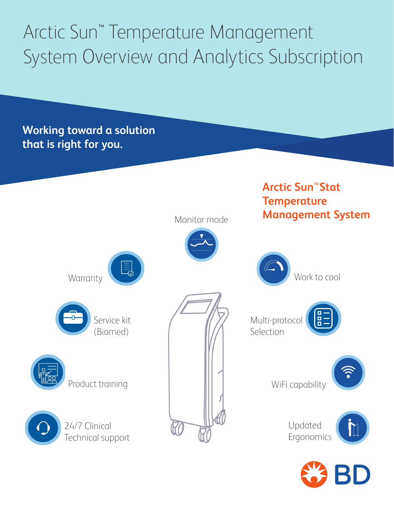# Arctic Sun<sup>™</sup> Temperature Management System Overview and Analytics Subscription

**Working toward a solution that is right for you.**